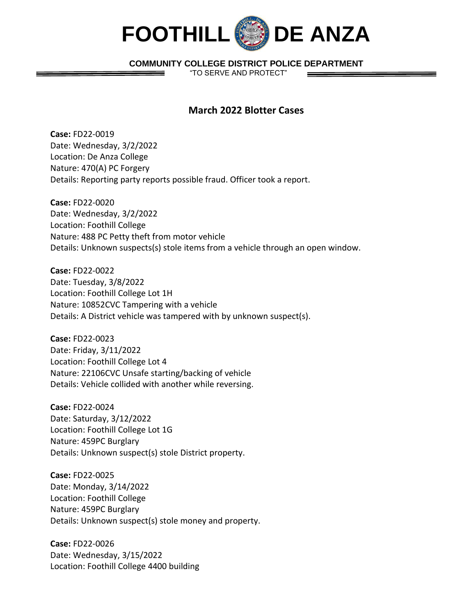

## **COMMUNITY COLLEGE DISTRICT POLICE DEPARTMENT**

"TO SERVE AND PROTECT"

## **March 2022 Blotter Cases**

**Case:** FD22-0019 Date: Wednesday, 3/2/2022 Location: De Anza College Nature: 470(A) PC Forgery Details: Reporting party reports possible fraud. Officer took a report.

**Case:** FD22-0020 Date: Wednesday, 3/2/2022 Location: Foothill College Nature: 488 PC Petty theft from motor vehicle Details: Unknown suspects(s) stole items from a vehicle through an open window.

**Case:** FD22-0022 Date: Tuesday, 3/8/2022 Location: Foothill College Lot 1H Nature: 10852CVC Tampering with a vehicle Details: A District vehicle was tampered with by unknown suspect(s).

**Case:** FD22-0023 Date: Friday, 3/11/2022 Location: Foothill College Lot 4 Nature: 22106CVC Unsafe starting/backing of vehicle Details: Vehicle collided with another while reversing.

**Case:** FD22-0024 Date: Saturday, 3/12/2022 Location: Foothill College Lot 1G Nature: 459PC Burglary Details: Unknown suspect(s) stole District property.

**Case:** FD22-0025 Date: Monday, 3/14/2022 Location: Foothill College Nature: 459PC Burglary Details: Unknown suspect(s) stole money and property.

**Case:** FD22-0026 Date: Wednesday, 3/15/2022 Location: Foothill College 4400 building